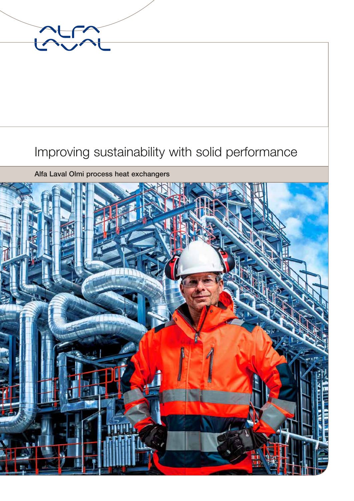### Improving sustainability with solid performance

Alfa Laval Olmi process heat exchangers

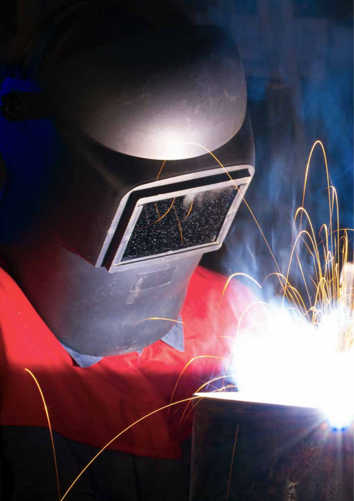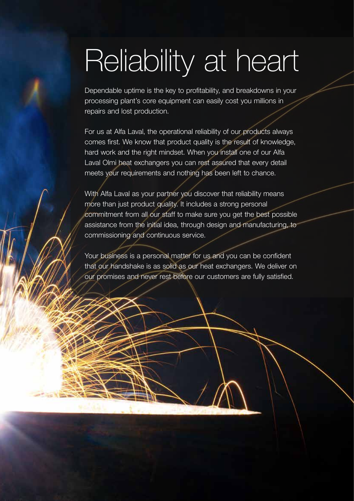### Reliability at heart

Dependable uptime is the key to profitability, and breakdowns in your processing plant's core equipment can easily cost you millions in repairs and lost production.

For us at Alfa Laval, the operational reliability of our products always comes first. We know that product quality is the result of knowledge, hard work and the right mindset. When you install one of our Alfa Laval Olmi heat exchangers you can rest assured that every detail meets your requirements and nothing has been left to chance.

With Alfa Laval as your partner you discover that reliability means more than just product quality. It includes a strong personal commitment from all our staff to make sure you get the best possible assistance from the initial idea, through design and manufacturing, to commissioning and continuous service.

Your business is a personal matter for us and you can be confident that our handshake is as solid as our heat exchangers. We deliver on our promises and never rest before our customers are fully satisfied.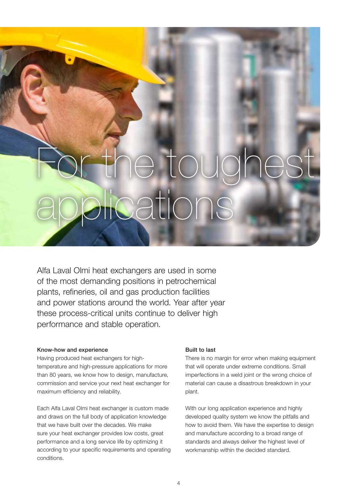# For the toughest applications

Alfa Laval Olmi heat exchangers are used in some of the most demanding positions in petrochemical plants, refineries, oil and gas production facilities and power stations around the world. Year after year these process-critical units continue to deliver high performance and stable operation.

#### Know-how and experience

Having produced heat exchangers for hightemperature and high-pressure applications for more than 80 years, we know how to design, manufacture, commission and service your next heat exchanger for maximum efficiency and reliability.

Each Alfa Laval Olmi heat exchanger is custom made and draws on the full body of application knowledge that we have built over the decades. We make sure your heat exchanger provides low costs, great performance and a long service life by optimizing it according to your specific requirements and operating conditions.

#### Built to last

There is no margin for error when making equipment that will operate under extreme conditions. Small imperfections in a weld joint or the wrong choice of material can cause a disastrous breakdown in your plant.

With our long application experience and highly developed quality system we know the pitfalls and how to avoid them. We have the expertise to design and manufacture according to a broad range of standards and always deliver the highest level of workmanship within the decided standard.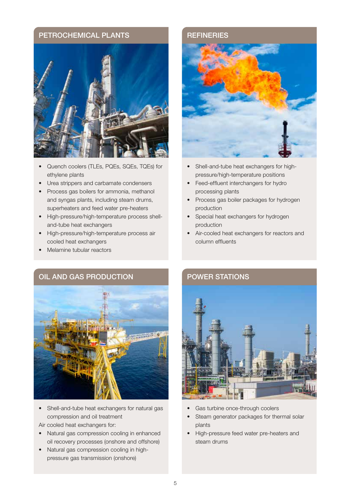#### PETROCHEMICAL PLANTS



- Quench coolers (TLEs, PQEs, SQEs, TQEs) for ethylene plants
- Urea strippers and carbamate condensers
- Process gas boilers for ammonia, methanol and syngas plants, including steam drums, superheaters and feed water pre-heaters
- High-pressure/high-temperature process shelland-tube heat exchangers
- High-pressure/high-temperature process air cooled heat exchangers
- Melamine tubular reactors

#### **REFINERIES**



- Shell-and-tube heat exchangers for highpressure/high-temperature positions
- Feed-effluent interchangers for hydro processing plants
- Process gas boiler packages for hydrogen production
- Special heat exchangers for hydrogen production
- Air-cooled heat exchangers for reactors and column effluents

### OIL AND GAS PRODUCTION



• Shell-and-tube heat exchangers for natural gas compression and oil treatment

Air cooled heat exchangers for:

- Natural gas compression cooling in enhanced oil recovery processes (onshore and offshore)
- Natural gas compression cooling in highpressure gas transmission (onshore)

#### POWER STATIONS



- Gas turbine once-through coolers
- Steam generator packages for thermal solar plants
- High-pressure feed water pre-heaters and steam drums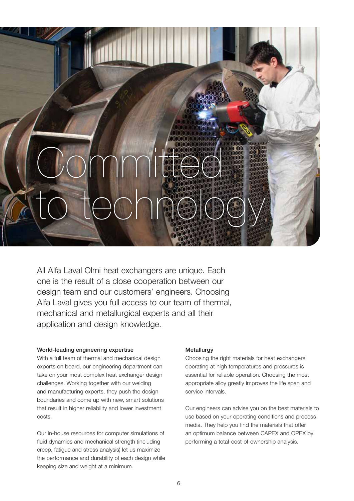

All Alfa Laval Olmi heat exchangers are unique. Each one is the result of a close cooperation between our design team and our customers' engineers. Choosing Alfa Laval gives you full access to our team of thermal, mechanical and metallurgical experts and all their application and design knowledge.

#### World-leading engineering expertise

With a full team of thermal and mechanical design experts on board, our engineering department can take on your most complex heat exchanger design challenges. Working together with our welding and manufacturing experts, they push the design boundaries and come up with new, smart solutions that result in higher reliability and lower investment costs.

Our in-house resources for computer simulations of fluid dynamics and mechanical strength (including creep, fatigue and stress analysis) let us maximize the performance and durability of each design while keeping size and weight at a minimum.

#### Metallurgy

Choosing the right materials for heat exchangers operating at high temperatures and pressures is essential for reliable operation. Choosing the most appropriate alloy greatly improves the life span and service intervals.

Our engineers can advise you on the best materials to use based on your operating conditions and process media. They help you find the materials that offer an optimum balance between CAPEX and OPEX by performing a total-cost-of-ownership analysis.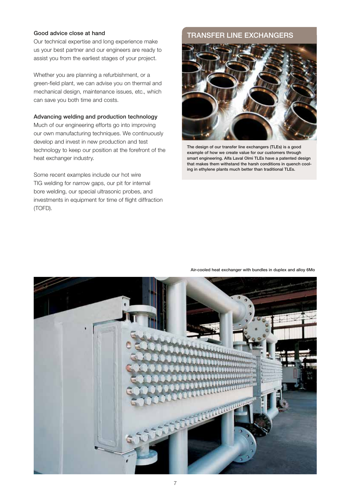#### Good advice close at hand

Our technical expertise and long experience make us your best partner and our engineers are ready to assist you from the earliest stages of your project.

Whether you are planning a refurbishment, or a green-field plant, we can advise you on thermal and mechanical design, maintenance issues, etc., which can save you both time and costs.

#### Advancing welding and production technology

Much of our engineering efforts go into improving our own manufacturing techniques. We continuously develop and invest in new production and test technology to keep our position at the forefront of the heat exchanger industry.

Some recent examples include our hot wire TIG welding for narrow gaps, our pit for internal bore welding, our special ultrasonic probes, and investments in equipment for time of flight diffraction (TOFD).

#### TRANSFER LINE EXCHANGERS



The design of our transfer line exchangers (TLEs) is a good example of how we create value for our customers through smart engineering. Alfa Laval Olmi TLEs have a patented design that makes them withstand the harsh conditions in quench cooling in ethylene plants much better than traditional TLEs.



Air-cooled heat exchanger with bundles in duplex and alloy 6Mo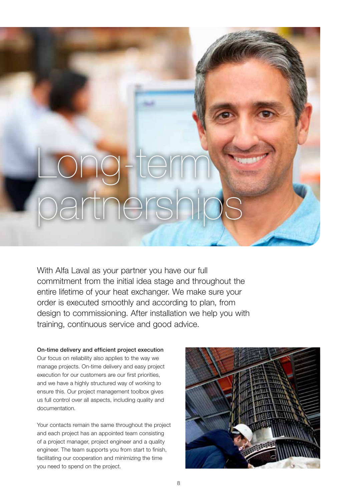### Long-term **partnerships**

With Alfa Laval as your partner you have our full commitment from the initial idea stage and throughout the entire lifetime of your heat exchanger. We make sure your order is executed smoothly and according to plan, from design to commissioning. After installation we help you with training, continuous service and good advice.

On-time delivery and efficient project execution Our focus on reliability also applies to the way we manage projects. On-time delivery and easy project execution for our customers are our first priorities, and we have a highly structured way of working to ensure this. Our project management toolbox gives us full control over all aspects, including quality and documentation.

Your contacts remain the same throughout the project and each project has an appointed team consisting of a project manager, project engineer and a quality engineer. The team supports you from start to finish, facilitating our cooperation and minimizing the time you need to spend on the project.

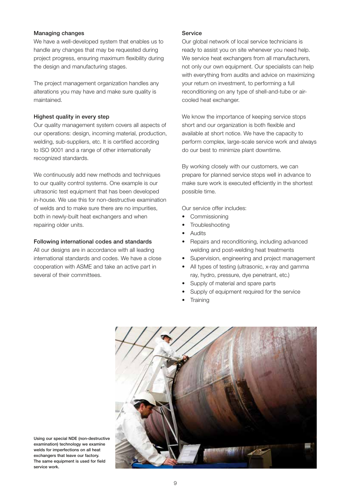#### Managing changes

We have a well-developed system that enables us to handle any changes that may be requested during project progress, ensuring maximum flexibility during the design and manufacturing stages.

The project management organization handles any alterations you may have and make sure quality is maintained.

#### Highest quality in every step

Our quality management system covers all aspects of our operations: design, incoming material, production, welding, sub-suppliers, etc. It is certified according to ISO 9001 and a range of other internationally recognized standards.

We continuously add new methods and techniques to our quality control systems. One example is our ultrasonic test equipment that has been developed in-house. We use this for non-destructive examination of welds and to make sure there are no impurities, both in newly-built heat exchangers and when repairing older units.

#### Following international codes and standards

All our designs are in accordance with all leading international standards and codes. We have a close cooperation with ASME and take an active part in several of their committees.

#### Service

Our global network of local service technicians is ready to assist you on site whenever you need help. We service heat exchangers from all manufacturers, not only our own equipment. Our specialists can help with everything from audits and advice on maximizing your return on investment, to performing a full reconditioning on any type of shell-and-tube or aircooled heat exchanger.

We know the importance of keeping service stops short and our organization is both flexible and available at short notice. We have the capacity to perform complex, large-scale service work and always do our best to minimize plant downtime.

By working closely with our customers, we can prepare for planned service stops well in advance to make sure work is executed efficiently in the shortest possible time.

Our service offer includes:

- **Commissioning**
- **Troubleshooting**
- **Audits**
- Repairs and reconditioning, including advanced welding and post-welding heat treatments
- Supervision, engineering and project management
- All types of testing (ultrasonic, x-ray and gamma ray, hydro, pressure, dye penetrant, etc.)
- Supply of material and spare parts
- Supply of equipment required for the service
- **Training**



Using our special NDE (non-destructive examination) technology we examine welds for imperfections on all heat exchangers that leave our factory. The same equipment is used for field service work.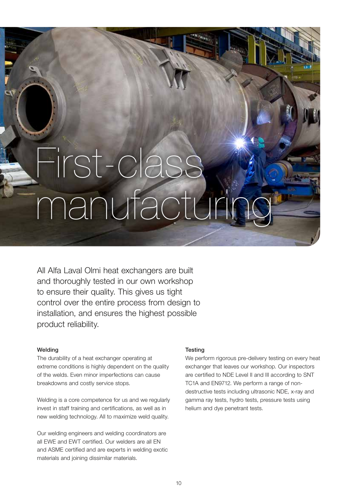## First-class manufacturing

All Alfa Laval Olmi heat exchangers are built and thoroughly tested in our own workshop to ensure their quality. This gives us tight control over the entire process from design to installation, and ensures the highest possible product reliability.

#### Welding

The durability of a heat exchanger operating at extreme conditions is highly dependent on the quality of the welds. Even minor imperfections can cause breakdowns and costly service stops.

Welding is a core competence for us and we regularly invest in staff training and certifications, as well as in new welding technology. All to maximize weld quality.

Our welding engineers and welding coordinators are all EWE and EWT certified. Our welders are all EN and ASME certified and are experts in welding exotic materials and joining dissimilar materials.

#### **Testing**

We perform rigorous pre-delivery testing on every heat exchanger that leaves our workshop. Our inspectors are certified to NDE Level II and III according to SNT TC1A and EN9712. We perform a range of nondestructive tests including ultrasonic NDE, x-ray and gamma ray tests, hydro tests, pressure tests using helium and dye penetrant tests.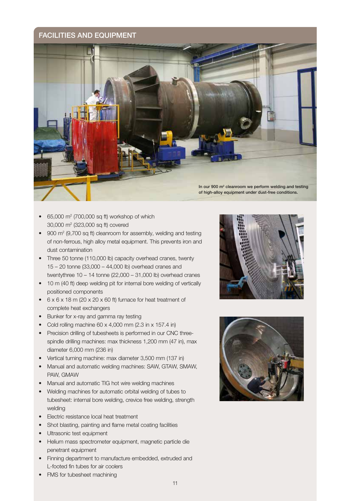#### FACILITIES AND EQUIPMENT



- $\bullet$  65,000 m<sup>2</sup> (700,000 sq ft) workshop of which 30,000 m2 (323,000 sq ft) covered
- $\bullet$  900 m<sup>2</sup> (9,700 sq ft) cleanroom for assembly, welding and testing of non-ferrous, high alloy metal equipment. This prevents iron and dust contamination
- Three 50 tonne (110,000 lb) capacity overhead cranes, twenty 15 – 20 tonne (33,000 – 44,000 lb) overhead cranes and twentythree  $10 - 14$  tonne (22,000 – 31,000 lb) overhead cranes
- 10 m (40 ft) deep welding pit for internal bore welding of vertically positioned components
- 6 x 6 x 18 m (20 x 20 x 60 ft) furnace for heat treatment of complete heat exchangers
- Bunker for x-ray and gamma ray testing
- Cold rolling machine 60 x 4,000 mm (2.3 in x 157.4 in)
- Precision drilling of tubesheets is performed in our CNC threespindle drilling machines: max thickness 1,200 mm (47 in), max diameter 6,000 mm (236 in)
- Vertical turning machine: max diameter 3,500 mm (137 in)
- Manual and automatic welding machines: SAW, GTAW, SMAW, PAW, GMAW
- Manual and automatic TIG hot wire welding machines
- Welding machines for automatic orbital welding of tubes to tubesheet: internal bore welding, crevice free welding, strength welding
- Electric resistance local heat treatment
- Shot blasting, painting and flame metal coating facilities
- Ultrasonic test equipment
- Helium mass spectrometer equipment, magnetic particle die penetrant equipment
- Finning department to manufacture embedded, extruded and L-footed fin tubes for air coolers



• FMS for tubesheet machining